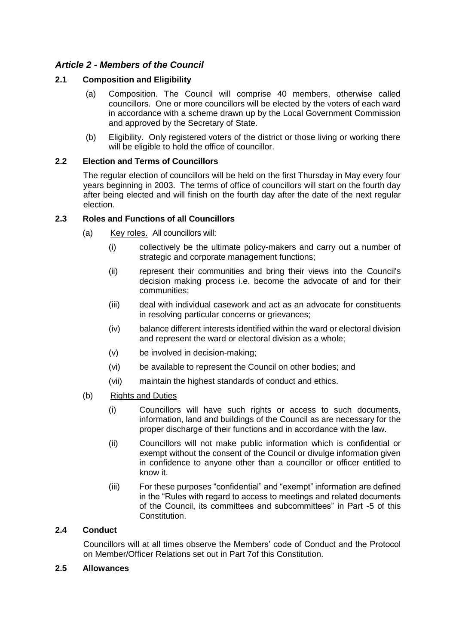# *Article 2 - Members of the Council*

## **2.1 Composition and Eligibility**

- (a) Composition. The Council will comprise 40 members, otherwise called councillors. One or more councillors will be elected by the voters of each ward in accordance with a scheme drawn up by the Local Government Commission and approved by the Secretary of State.
- (b) Eligibility. Only registered voters of the district or those living or working there will be eligible to hold the office of councillor.

### **2.2 Election and Terms of Councillors**

The regular election of councillors will be held on the first Thursday in May every four years beginning in 2003. The terms of office of councillors will start on the fourth day after being elected and will finish on the fourth day after the date of the next regular election.

### **2.3 Roles and Functions of all Councillors**

- (a) Key roles.All councillors will:
	- (i) collectively be the ultimate policy-makers and carry out a number of strategic and corporate management functions;
	- (ii) represent their communities and bring their views into the Council's decision making process i.e. become the advocate of and for their communities;
	- (iii) deal with individual casework and act as an advocate for constituents in resolving particular concerns or grievances;
	- (iv) balance different interests identified within the ward or electoral division and represent the ward or electoral division as a whole;
	- (v) be involved in decision-making;
	- (vi) be available to represent the Council on other bodies; and
	- (vii) maintain the highest standards of conduct and ethics.
- (b) Rights and Duties
	- (i) Councillors will have such rights or access to such documents, information, land and buildings of the Council as are necessary for the proper discharge of their functions and in accordance with the law.
	- (ii) Councillors will not make public information which is confidential or exempt without the consent of the Council or divulge information given in confidence to anyone other than a councillor or officer entitled to know it.
	- (iii) For these purposes "confidential" and "exempt" information are defined in the "Rules with regard to access to meetings and related documents of the Council, its committees and subcommittees" in Part -5 of this Constitution.

### **2.4 Conduct**

Councillors will at all times observe the Members' code of Conduct and the Protocol on Member/Officer Relations set out in Part 7of this Constitution.

### **2.5 Allowances**